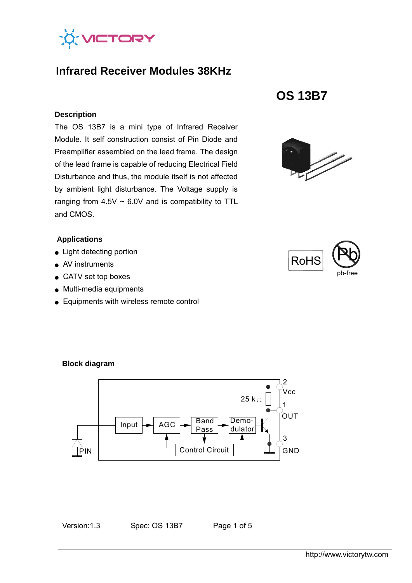

# **Infrared Receiver Modules 38KHz**

#### **Description**

The OS 13B7 is a mini type of Infrared Receiver Module. It self construction consist of Pin Diode and Preamplifier assembled on the lead frame. The design of the lead frame is capable of reducing Electrical Field Disturbance and thus, the module itself is not affected by ambient light disturbance. The Voltage supply is ranging from  $4.5V \sim 6.0V$  and is compatibility to TTL and CMOS.

### **Applications**

- Light detecting portion
- AV instruments
- CATV set top boxes
- Multi-media equipments
- Equipments with wireless remote control







#### **Block diagram**



Version: 1.3 Spec: OS 13B7 Page 1 of 5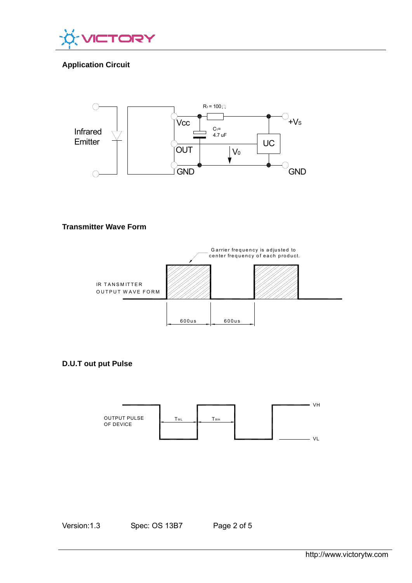

# **Application Circuit**



#### **Transmitter Wave Form**



#### **D.U.T out put Pulse**



Version: 1.3 Spec: OS 13B7 Page 2 of 5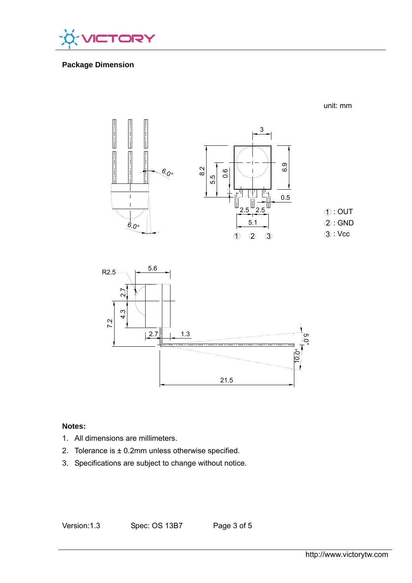

## **Package Dimension**

3  $\begin{array}{c} \hline \textbf{1} & \textbf{1} \\ \textbf{2} & \textbf{1} \\ \textbf{3} & \textbf{1} \end{array}$ 6.9 8.2 0.6  $\overset{6}{\sim}$ o $^{\circ}$ 5.5 0.5  $\overline{\phantom{a}}$  $.5$   $^{\rm \omega}$  2.5  $\circledR$ : OUT  $(2)$ : GND 5.1  $6.0^\circ$ 





### **Notes:**

- 1. All dimensions are millimeters.
- 2. Tolerance is  $\pm$  0.2mm unless otherwise specified.
- 3. Specifications are subject to change without notice.

Version: 1.3 Spec: OS 13B7 Page 3 of 5

unit: mm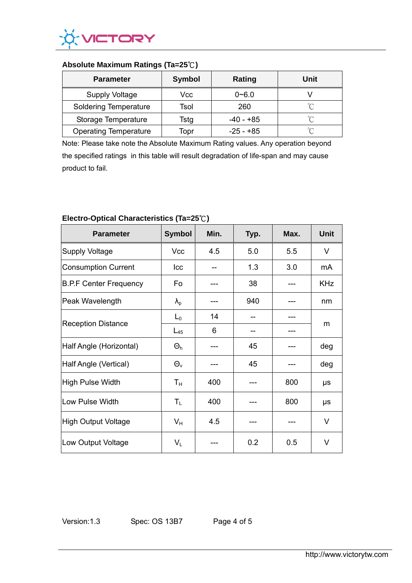

### **Absolute Maximum Ratings (Ta=25**℃**)**

| <b>Parameter</b>             | <b>Symbol</b> | Rating      | Unit     |
|------------------------------|---------------|-------------|----------|
| <b>Supply Voltage</b>        | Vcc           | $0 - 6.0$   |          |
| <b>Soldering Temperature</b> | Tsol          | 260         | $\gamma$ |
| Storage Temperature          | Tstg          | -40 - +85   | ഀ        |
| <b>Operating Temperature</b> | Topr          | $-25 - +85$ | °∩       |

Note: Please take note the Absolute Maximum Rating values. Any operation beyond the specified ratings in this table will result degradation of life-span and may cause product to fail.

| <b>Parameter</b>              | <b>Symbol</b>     | Min. | Typ. | Max. | <b>Unit</b> |
|-------------------------------|-------------------|------|------|------|-------------|
| Supply Voltage                | Vcc               | 4.5  | 5.0  | 5.5  | $\vee$      |
| Consumption Current           | Icc               |      | 1.3  | 3.0  | mA          |
| <b>B.P.F Center Frequency</b> | Fo                |      | 38   |      | <b>KHz</b>  |
| Peak Wavelength               | $\lambda_{\rm p}$ |      | 940  |      | nm          |
| <b>Reception Distance</b>     | $L_0$             | 14   |      |      | m           |
|                               | $L_{45}$          | 6    |      |      |             |
| Half Angle (Horizontal)       | $\Theta_h$        |      | 45   |      | deg         |
| Half Angle (Vertical)         | $\Theta_{v}$      |      | 45   |      | deg         |
| High Pulse Width              | $T_{\rm H}$       | 400  |      | 800  | μs          |
| Low Pulse Width               | $T_{L}$           | 400  |      | 800  | μs          |
| High Output Voltage           | $V_{H}$           | 4.5  |      |      | V           |
| Low Output Voltage            | $V_L$             |      | 0.2  | 0.5  | V           |

## **Electro-Optical Characteristics (Ta=25**℃**)**